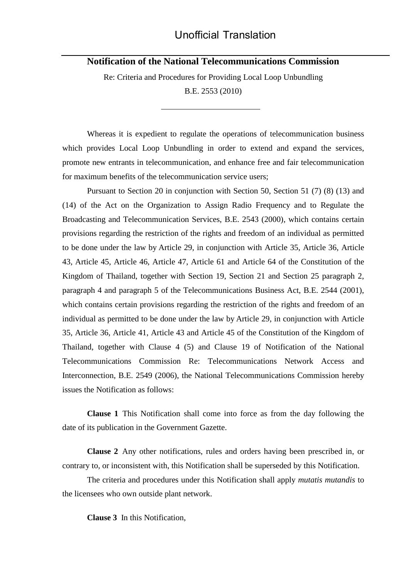**Notification of the National Telecommunications Commission**

Re: Criteria and Procedures for Providing Local Loop Unbundling B.E. 2553 (2010)

 $\overline{a}$ 

Whereas it is expedient to regulate the operations of telecommunication business which provides Local Loop Unbundling in order to extend and expand the services, promote new entrants in telecommunication, and enhance free and fair telecommunication for maximum benefits of the telecommunication service users;

Pursuant to Section 20 in conjunction with Section 50, Section 51 (7) (8) (13) and (14) of the Act on the Organization to Assign Radio Frequency and to Regulate the Broadcasting and Telecommunication Services, B.E. 2543 (2000), which contains certain provisions regarding the restriction of the rights and freedom of an individual as permitted to be done under the law by Article 29, in conjunction with Article 35, Article 36, Article 43, Article 45, Article 46, Article 47, Article 61 and Article 64 of the Constitution of the Kingdom of Thailand, together with Section 19, Section 21 and Section 25 paragraph 2, paragraph 4 and paragraph 5 of the Telecommunications Business Act, B.E. 2544 (2001), which contains certain provisions regarding the restriction of the rights and freedom of an individual as permitted to be done under the law by Article 29, in conjunction with Article 35, Article 36, Article 41, Article 43 and Article 45 of the Constitution of the Kingdom of Thailand, together with Clause 4 (5) and Clause 19 of Notification of the National Telecommunications Commission Re: Telecommunications Network Access and Interconnection, B.E. 2549 (2006), the National Telecommunications Commission hereby issues the Notification as follows:

**Clause 1** This Notification shall come into force as from the day following the date of its publication in the Government Gazette.

**Clause 2** Any other notifications, rules and orders having been prescribed in, or contrary to, or inconsistent with, this Notification shall be superseded by this Notification.

The criteria and procedures under this Notification shall apply *mutatis mutandis* to the licensees who own outside plant network.

**Clause 3** In this Notification,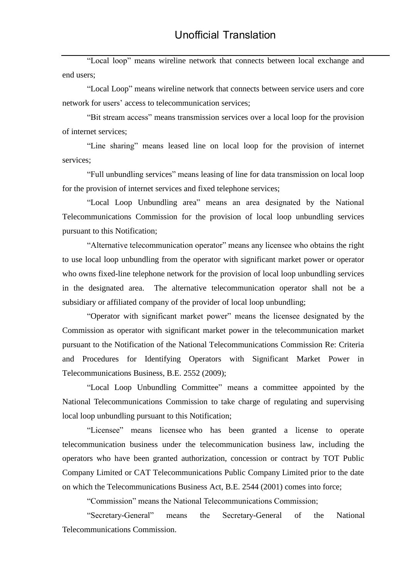"Local loop" means wireline network that connects between local exchange and end users;

"Local Loop" means wireline network that connects between service users and core network for users' access to telecommunication services;

"Bit stream access" means transmission services over a local loop for the provision of internet services;

"Line sharing" means leased line on local loop for the provision of internet services;

"Full unbundling services" means leasing of line for data transmission on local loop for the provision of internet services and fixed telephone services;

"Local Loop Unbundling area" means an area designated by the National Telecommunications Commission for the provision of local loop unbundling services pursuant to this Notification;

"Alternative telecommunication operator" means any licensee who obtains the right to use local loop unbundling from the operator with significant market power or operator who owns fixed-line telephone network for the provision of local loop unbundling services in the designated area. The alternative telecommunication operator shall not be a subsidiary or affiliated company of the provider of local loop unbundling;

"Operator with significant market power" means the licensee designated by the Commission as operator with significant market power in the telecommunication market pursuant to the Notification of the National Telecommunications Commission Re: Criteria and Procedures for Identifying Operators with Significant Market Power in Telecommunications Business, B.E. 2552 (2009);

"Local Loop Unbundling Committee" means a committee appointed by the National Telecommunications Commission to take charge of regulating and supervising local loop unbundling pursuant to this Notification;

"Licensee" means licensee who has been granted a license to operate telecommunication business under the telecommunication business law, including the operators who have been granted authorization, concession or contract by TOT Public Company Limited or CAT Telecommunications Public Company Limited prior to the date on which the Telecommunications Business Act, B.E. 2544 (2001) comes into force;

"Commission" means the National Telecommunications Commission;

"Secretary-General" means the Secretary-General of the National Telecommunications Commission.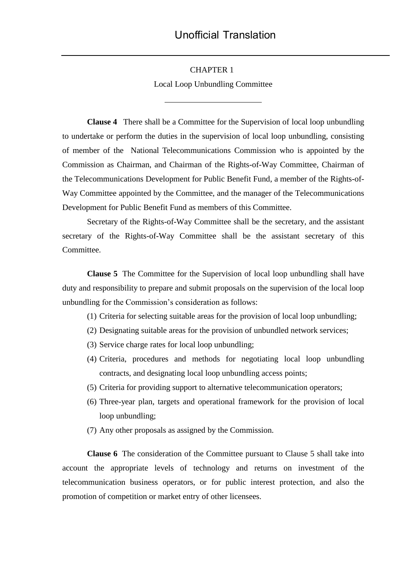#### CHAPTER 1

Local Loop Unbundling Committee

 $\overline{a}$ 

**Clause 4** There shall be a Committee for the Supervision of local loop unbundling to undertake or perform the duties in the supervision of local loop unbundling, consisting of member of the National Telecommunications Commission who is appointed by the Commission as Chairman, and Chairman of the Rights-of-Way Committee, Chairman of the Telecommunications Development for Public Benefit Fund, a member of the Rights-of-Way Committee appointed by the Committee, and the manager of the Telecommunications Development for Public Benefit Fund as members of this Committee.

Secretary of the Rights-of-Way Committee shall be the secretary, and the assistant secretary of the Rights-of-Way Committee shall be the assistant secretary of this Committee.

 **Clause 5** The Committee for the Supervision of local loop unbundling shall have duty and responsibility to prepare and submit proposals on the supervision of the local loop unbundling for the Commission's consideration as follows:

(1) Criteria for selecting suitable areas for the provision of local loop unbundling;

- (2) Designating suitable areas for the provision of unbundled network services;
- (3) Service charge rates for local loop unbundling;
- (4) Criteria, procedures and methods for negotiating local loop unbundling contracts, and designating local loop unbundling access points;
- (5) Criteria for providing support to alternative telecommunication operators;
- (6) Three-year plan, targets and operational framework for the provision of local loop unbundling;
- (7) Any other proposals as assigned by the Commission.

**Clause 6** The consideration of the Committee pursuant to Clause 5 shall take into account the appropriate levels of technology and returns on investment of the telecommunication business operators, or for public interest protection, and also the promotion of competition or market entry of other licensees.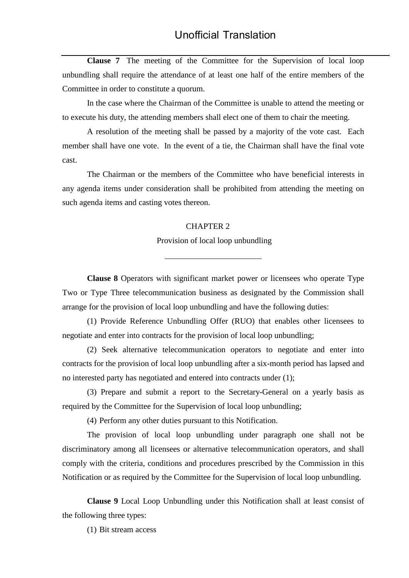**Clause 7** The meeting of the Committee for the Supervision of local loop unbundling shall require the attendance of at least one half of the entire members of the Committee in order to constitute a quorum.

In the case where the Chairman of the Committee is unable to attend the meeting or to execute his duty, the attending members shall elect one of them to chair the meeting.

A resolution of the meeting shall be passed by a majority of the vote cast. Each member shall have one vote. In the event of a tie, the Chairman shall have the final vote cast.

The Chairman or the members of the Committee who have beneficial interests in any agenda items under consideration shall be prohibited from attending the meeting on such agenda items and casting votes thereon.

### CHAPTER 2

 $\overline{a}$ 

Provision of local loop unbundling

**Clause 8** Operators with significant market power or licensees who operate Type Two or Type Three telecommunication business as designated by the Commission shall arrange for the provision of local loop unbundling and have the following duties:

(1) Provide Reference Unbundling Offer (RUO) that enables other licensees to negotiate and enter into contracts for the provision of local loop unbundling;

(2) Seek alternative telecommunication operators to negotiate and enter into contracts for the provision of local loop unbundling after a six-month period has lapsed and no interested party has negotiated and entered into contracts under (1);

(3) Prepare and submit a report to the Secretary-General on a yearly basis as required by the Committee for the Supervision of local loop unbundling;

(4) Perform any other duties pursuant to this Notification.

The provision of local loop unbundling under paragraph one shall not be discriminatory among all licensees or alternative telecommunication operators, and shall comply with the criteria, conditions and procedures prescribed by the Commission in this Notification or as required by the Committee for the Supervision of local loop unbundling.

**Clause 9** Local Loop Unbundling under this Notification shall at least consist of the following three types:

(1) Bit stream access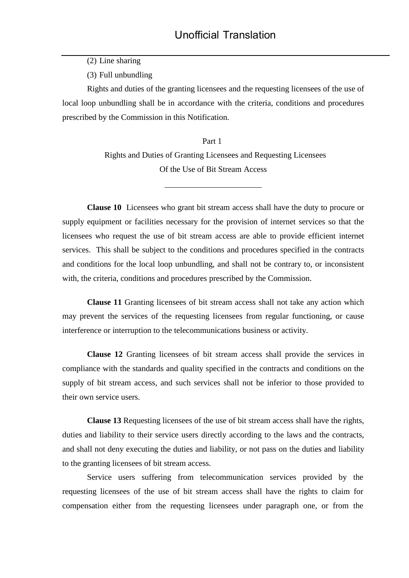(2) Line sharing

(3) Full unbundling

Rights and duties of the granting licensees and the requesting licensees of the use of local loop unbundling shall be in accordance with the criteria, conditions and procedures prescribed by the Commission in this Notification.

> Part 1 Rights and Duties of Granting Licensees and Requesting Licensees Of the Use of Bit Stream Access

> > $\overline{a}$

**Clause 10** Licensees who grant bit stream access shall have the duty to procure or supply equipment or facilities necessary for the provision of internet services so that the licensees who request the use of bit stream access are able to provide efficient internet services. This shall be subject to the conditions and procedures specified in the contracts and conditions for the local loop unbundling, and shall not be contrary to, or inconsistent with, the criteria, conditions and procedures prescribed by the Commission.

**Clause 11** Granting licensees of bit stream access shall not take any action which may prevent the services of the requesting licensees from regular functioning, or cause interference or interruption to the telecommunications business or activity.

**Clause 12** Granting licensees of bit stream access shall provide the services in compliance with the standards and quality specified in the contracts and conditions on the supply of bit stream access, and such services shall not be inferior to those provided to their own service users.

**Clause 13** Requesting licensees of the use of bit stream access shall have the rights, duties and liability to their service users directly according to the laws and the contracts, and shall not deny executing the duties and liability, or not pass on the duties and liability to the granting licensees of bit stream access.

Service users suffering from telecommunication services provided by the requesting licensees of the use of bit stream access shall have the rights to claim for compensation either from the requesting licensees under paragraph one, or from the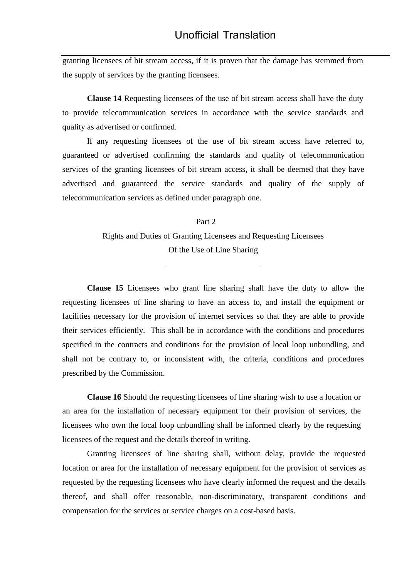granting licensees of bit stream access, if it is proven that the damage has stemmed from the supply of services by the granting licensees.

**Clause 14** Requesting licensees of the use of bit stream access shall have the duty to provide telecommunication services in accordance with the service standards and quality as advertised or confirmed.

If any requesting licensees of the use of bit stream access have referred to, guaranteed or advertised confirming the standards and quality of telecommunication services of the granting licensees of bit stream access, it shall be deemed that they have advertised and guaranteed the service standards and quality of the supply of telecommunication services as defined under paragraph one.

> Part 2 Rights and Duties of Granting Licensees and Requesting Licensees Of the Use of Line Sharing

> > $\overline{a}$

**Clause 15** Licensees who grant line sharing shall have the duty to allow the requesting licensees of line sharing to have an access to, and install the equipment or facilities necessary for the provision of internet services so that they are able to provide their services efficiently. This shall be in accordance with the conditions and procedures specified in the contracts and conditions for the provision of local loop unbundling, and shall not be contrary to, or inconsistent with, the criteria, conditions and procedures prescribed by the Commission.

**Clause 16** Should the requesting licensees of line sharing wish to use a location or an area for the installation of necessary equipment for their provision of services, the licensees who own the local loop unbundling shall be informed clearly by the requesting licensees of the request and the details thereof in writing.

Granting licensees of line sharing shall, without delay, provide the requested location or area for the installation of necessary equipment for the provision of services as requested by the requesting licensees who have clearly informed the request and the details thereof, and shall offer reasonable, non-discriminatory, transparent conditions and compensation for the services or service charges on a cost-based basis.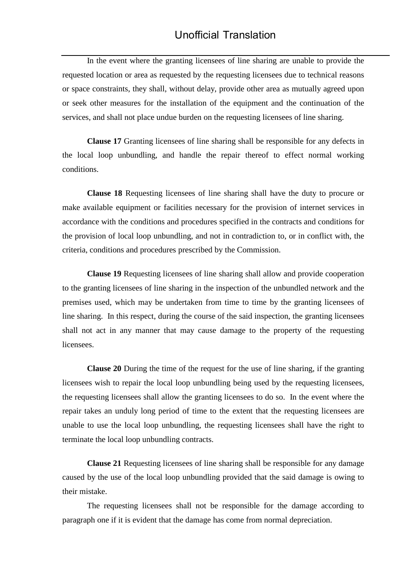In the event where the granting licensees of line sharing are unable to provide the requested location or area as requested by the requesting licensees due to technical reasons or space constraints, they shall, without delay, provide other area as mutually agreed upon or seek other measures for the installation of the equipment and the continuation of the services, and shall not place undue burden on the requesting licensees of line sharing.

**Clause 17** Granting licensees of line sharing shall be responsible for any defects in the local loop unbundling, and handle the repair thereof to effect normal working conditions.

**Clause 18** Requesting licensees of line sharing shall have the duty to procure or make available equipment or facilities necessary for the provision of internet services in accordance with the conditions and procedures specified in the contracts and conditions for the provision of local loop unbundling, and not in contradiction to, or in conflict with, the criteria, conditions and procedures prescribed by the Commission.

**Clause 19** Requesting licensees of line sharing shall allow and provide cooperation to the granting licensees of line sharing in the inspection of the unbundled network and the premises used, which may be undertaken from time to time by the granting licensees of line sharing. In this respect, during the course of the said inspection, the granting licensees shall not act in any manner that may cause damage to the property of the requesting licensees.

**Clause 20** During the time of the request for the use of line sharing, if the granting licensees wish to repair the local loop unbundling being used by the requesting licensees, the requesting licensees shall allow the granting licensees to do so. In the event where the repair takes an unduly long period of time to the extent that the requesting licensees are unable to use the local loop unbundling, the requesting licensees shall have the right to terminate the local loop unbundling contracts.

**Clause 21** Requesting licensees of line sharing shall be responsible for any damage caused by the use of the local loop unbundling provided that the said damage is owing to their mistake.

The requesting licensees shall not be responsible for the damage according to paragraph one if it is evident that the damage has come from normal depreciation.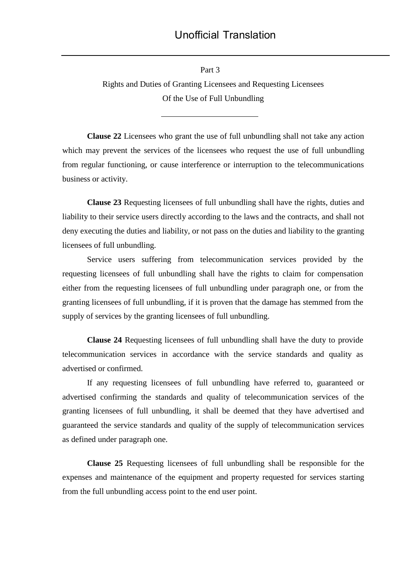Part 3

 $\overline{a}$ 

Rights and Duties of Granting Licensees and Requesting Licensees Of the Use of Full Unbundling

**Clause 22** Licensees who grant the use of full unbundling shall not take any action which may prevent the services of the licensees who request the use of full unbundling from regular functioning, or cause interference or interruption to the telecommunications business or activity.

**Clause 23** Requesting licensees of full unbundling shall have the rights, duties and liability to their service users directly according to the laws and the contracts, and shall not deny executing the duties and liability, or not pass on the duties and liability to the granting licensees of full unbundling.

Service users suffering from telecommunication services provided by the requesting licensees of full unbundling shall have the rights to claim for compensation either from the requesting licensees of full unbundling under paragraph one, or from the granting licensees of full unbundling, if it is proven that the damage has stemmed from the supply of services by the granting licensees of full unbundling.

**Clause 24** Requesting licensees of full unbundling shall have the duty to provide telecommunication services in accordance with the service standards and quality as advertised or confirmed.

If any requesting licensees of full unbundling have referred to, guaranteed or advertised confirming the standards and quality of telecommunication services of the granting licensees of full unbundling, it shall be deemed that they have advertised and guaranteed the service standards and quality of the supply of telecommunication services as defined under paragraph one.

**Clause 25** Requesting licensees of full unbundling shall be responsible for the expenses and maintenance of the equipment and property requested for services starting from the full unbundling access point to the end user point.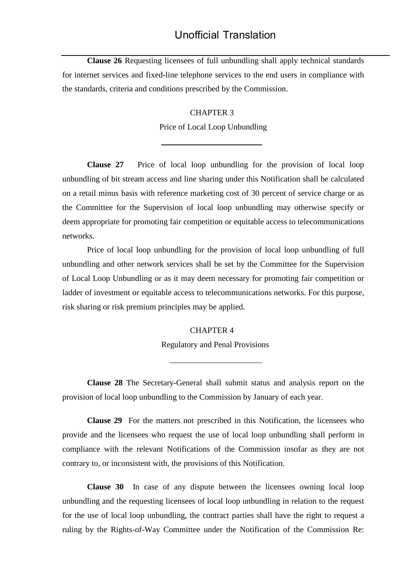**Clause 26** Requesting licensees of full unbundling shall apply technical standards for internet services and fixed-line telephone services to the end users in compliance with the standards, criteria and conditions prescribed by the Commission.

# CHAPTER 3

Price of Local Loop Unbundling

 $\overline{a}$ 

**Clause 27** Price of local loop unbundling for the provision of local loop unbundling of bit stream access and line sharing under this Notification shall be calculated on a retail minus basis with reference marketing cost of 30 percent of service charge or as the Committee for the Supervision of local loop unbundling may otherwise specify or deem appropriate for promoting fair competition or equitable access to telecommunications networks.

Price of local loop unbundling for the provision of local loop unbundling of full unbundling and other network services shall be set by the Committee for the Supervision of Local Loop Unbundling or as it may deem necessary for promoting fair competition or ladder of investment or equitable access to telecommunications networks. For this purpose, risk sharing or risk premium principles may be applied.

# CHAPTER 4

Regulatory and Penal Provisions

**Clause 28** The Secretary-General shall submit status and analysis report on the provision of local loop unbundling to the Commission by January of each year.

**Clause 29** For the matters not prescribed in this Notification, the licensees who provide and the licensees who request the use of local loop unbundling shall perform in compliance with the relevant Notifications of the Commission insofar as they are not contrary to, or inconsistent with, the provisions of this Notification.

**Clause 30** In case of any dispute between the licensees owning local loop unbundling and the requesting licensees of local loop unbundling in relation to the request for the use of local loop unbundling, the contract parties shall have the right to request a ruling by the Rights-of-Way Committee under the Notification of the Commission Re: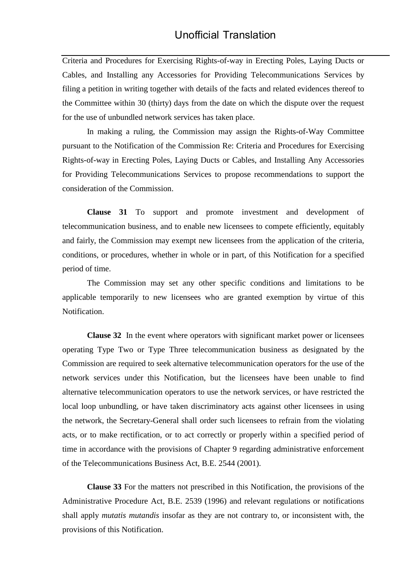Criteria and Procedures for Exercising Rights-of-way in Erecting Poles, Laying Ducts or Cables, and Installing any Accessories for Providing Telecommunications Services by filing a petition in writing together with details of the facts and related evidences thereof to the Committee within 30 (thirty) days from the date on which the dispute over the request for the use of unbundled network services has taken place.

In making a ruling, the Commission may assign the Rights-of-Way Committee pursuant to the Notification of the Commission Re: Criteria and Procedures for Exercising Rights-of-way in Erecting Poles, Laying Ducts or Cables, and Installing Any Accessories for Providing Telecommunications Services to propose recommendations to support the consideration of the Commission.

**Clause 31** To support and promote investment and development of telecommunication business, and to enable new licensees to compete efficiently, equitably and fairly, the Commission may exempt new licensees from the application of the criteria, conditions, or procedures, whether in whole or in part, of this Notification for a specified period of time.

The Commission may set any other specific conditions and limitations to be applicable temporarily to new licensees who are granted exemption by virtue of this Notification.

**Clause 32** In the event where operators with significant market power or licensees operating Type Two or Type Three telecommunication business as designated by the Commission are required to seek alternative telecommunication operators for the use of the network services under this Notification, but the licensees have been unable to find alternative telecommunication operators to use the network services, or have restricted the local loop unbundling, or have taken discriminatory acts against other licensees in using the network, the Secretary-General shall order such licensees to refrain from the violating acts, or to make rectification, or to act correctly or properly within a specified period of time in accordance with the provisions of Chapter 9 regarding administrative enforcement of the Telecommunications Business Act, B.E. 2544 (2001).

**Clause 33** For the matters not prescribed in this Notification, the provisions of the Administrative Procedure Act, B.E. 2539 (1996) and relevant regulations or notifications shall apply *mutatis mutandis* insofar as they are not contrary to, or inconsistent with, the provisions of this Notification.